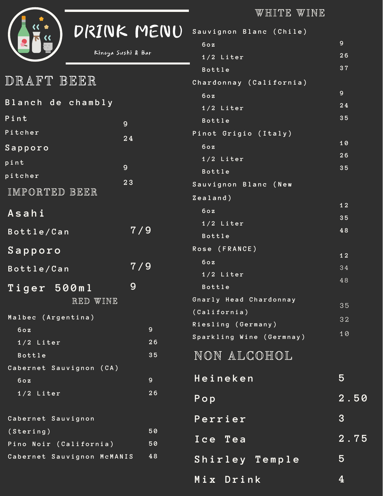WHITE WINE

|                                                                                         | DRINK MENU<br>Kinoya Sushi & Bar | Sauvig<br>60z<br>1/2                      |
|-----------------------------------------------------------------------------------------|----------------------------------|-------------------------------------------|
| DRAFT BEER                                                                              |                                  | Bott<br>Chardo                            |
| Blanch de chambly                                                                       |                                  | 60z<br>1/2                                |
| $P$ int<br>Pitcher<br>Sapporo                                                           | 9<br>24                          | <b>Bott</b><br>Pinot<br>60z               |
| pint<br>pitcher                                                                         | 9<br>23                          | 1/2<br>Bott<br>Sauvig                     |
| IMPORTED BEER<br>Asahi                                                                  | 7/9                              | Zealan<br>60z<br>1/2                      |
| Bottle/Can<br>Sapporo<br>Bottle/Can                                                     | 7 / 9                            | Bott<br>$R$ ose (<br>60z                  |
| Tiger 500ml<br>RED WINE                                                                 | 9                                | 1/2<br>Bott<br>Gnarly                     |
| Malbec (Argentina)<br>60z<br>$1/2$ Liter<br><b>Bottle</b>                               | $\mathbf{9}$<br>26<br>35         | (Cailif<br>Riesli<br><b>Sparkl</b><br>NON |
| Cabernet Sauvignon (CA)<br>60z<br>1/2 Liter                                             | 9 <sup>°</sup><br>26             | Heir<br>$P$ o p                           |
| Cabernet Sauvignon<br>(Stering)<br>Pino Noir (California)<br>Cabernet Sauvignon McMANIS | 50<br>50<br>48                   | Perr<br>$I$ ce<br>Shir                    |
|                                                                                         |                                  |                                           |

| Sauvignon Blanc (Chile)  |                                   |
|--------------------------|-----------------------------------|
| 60z                      | 9 <sup>°</sup>                    |
| 1/2 Liter                | 26                                |
| <b>Bottle</b>            | 37                                |
| Chardonnay (California)  |                                   |
| 60z                      | 9 <sup>°</sup>                    |
| $1/2$ Liter              | ${\bf 2 \, 4}$                    |
| <b>Bottle</b>            | 35                                |
| Pinot Grigio (Italy)     |                                   |
| 60z                      | 10                                |
| $1/2$ Liter              | 26                                |
| <b>Bottle</b>            | 35                                |
| Sauvignon Blanc (New     |                                   |
| Zealand)                 | 12                                |
| 60z                      | 35                                |
| 1/2 Liter                | 48                                |
| <b>Bottle</b>            |                                   |
| Rose (FRANCE)            | 12                                |
| 60z                      | 34                                |
| 1/2 Liter                | 48                                |
| <b>Bottle</b>            |                                   |
| Gnarly Head Chardonnay   | 35                                |
| (California)             | 32                                |
| Riesling (Germany)       | 10                                |
| Sparkling Wine (Germnay) |                                   |
| NON ALCOHOL              |                                   |
| Heineken                 | 5                                 |
| Pop                      | 2.50                              |
| Perrier                  | 3                                 |
| Ice Tea                  | $\overline{{\bf 2}$ . ${\bf 75}}$ |
| Shirley Temple           | 5                                 |
| Mix Drink                | $\boldsymbol{4}$                  |
|                          |                                   |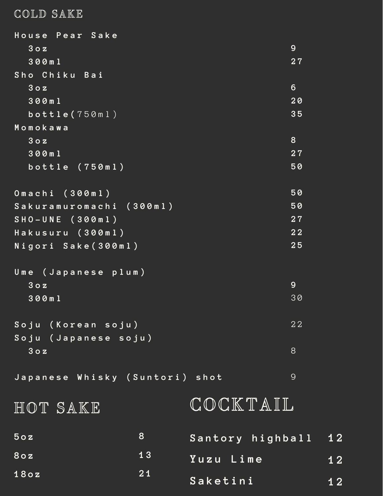## COLD SAKE

| House Pear Sake                |    |                  |                |      |
|--------------------------------|----|------------------|----------------|------|
| 30z                            |    |                  | 9              |      |
| 300ml                          |    |                  | 27             |      |
| Sho Chiku Bai                  |    |                  |                |      |
| 30z                            |    |                  | $6\phantom{1}$ |      |
| 300ml                          |    |                  | 20             |      |
| bottle(750ml)                  |    |                  | 35             |      |
| Momokawa                       |    |                  |                |      |
| 30z                            |    |                  | 8              |      |
| 300ml                          |    |                  | 27             |      |
| bottle $(750m1)$               |    |                  | 50             |      |
|                                |    |                  |                |      |
| Omachi (300ml)                 |    |                  | 50             |      |
| Sakuramuromachi (300ml)        |    |                  | 50             |      |
| $SHO-UNE (300m1)$              |    |                  | 27             |      |
| Hakusuru (300ml)               |    |                  | 22             |      |
| Nigori Sake (300ml)            |    |                  | 25             |      |
|                                |    |                  |                |      |
| Ume (Japanese plum)            |    |                  |                |      |
| 30z                            |    |                  | 9              |      |
| 300ml                          |    |                  | 30             |      |
|                                |    |                  |                |      |
| Soju (Korean soju)             |    |                  | 22             |      |
| Soju (Japanese soju)           |    |                  |                |      |
| 30z                            |    |                  | 8              |      |
|                                |    |                  |                |      |
| Japanese Whisky (Suntori) shot |    |                  | $\overline{9}$ |      |
|                                |    |                  |                |      |
| HOT SAKE                       |    | COCKTAIL         |                |      |
|                                |    |                  |                |      |
| 50z                            | 8  | Santory highball |                | 12   |
|                                | 13 |                  |                |      |
| 80z                            |    | Yuzu Lime        |                | 12   |
| 180z                           | 21 | Saketini         |                |      |
|                                |    |                  |                | $12$ |